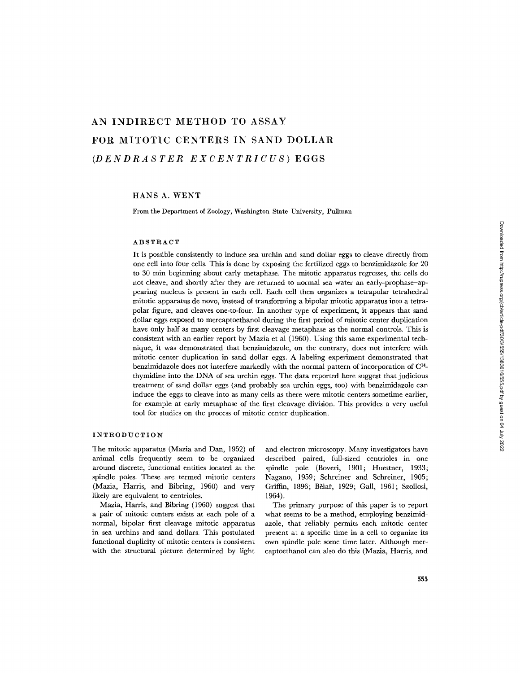# AN INDIRECT METHOD TO ASSAY FOR MITOTIC CENTERS IN SAND DOLLAR *(DENDRASTER EXCENTRICUS)* EGGS

### HANS A. WENT

From the Department of Zoology, Washington State University, Pullman

### ABSTRACT

It is possible consistently to induce sea urchin and sand dollar eggs to cleave directly from one cell into four cells. This is done by exposing the fertilized eggs to benzimidazole for 20 to 30 min beginning about carly mctaphasc. The mitotic apparatus regresses, the cells do not cleave, and shortly after they arc returned to normal sca water an carly-prophase-appcaring nucleus is present in each cell. Each cell then organizes a tctrapolar tetrahcdral mitotic apparatus dc novo, instead of transforming a bipolar mitotic apparatus into a tetrapolar figure, and cleaves one-to-four. In another type of experiment, it appears that sand dollar eggs exposed to mercaptoethanol during the first period of mitotic center duplication have only half as many centers by first cleavage metaphase as the normal controls. This is consistent with an earlier report by Mazia et al (1960). Using this same experimental tcchniquc, it was demonstrated that benzimidazole, on the contrary, does not intcrferc with mitotic center duplication in sand dollar eggs. A labeling experiment demonstrated that benzimidazole does not interfere markedly with the normal pattern of incorporation of  $C<sup>14</sup>$ thymidinc into the DNA of sea urchin eggs. The data reported here suggest that judicious treatment of sand dollar eggs (and probably sea urchin eggs, too) with bcnzimidazole can induce the cggs to cleave into as many cells as there were mitotic centers sometime carlier, for cxample at early metaphasc of the first cleavage division. This provides a very useful tool for studies on the process of mitotic center duplication.

### INTRODUCTION

The mitotic apparatus (Mazia and Dan, 1952) of animal cells frequently seem to be organized around discrete, functional entities located at the spindle poles. These are termed mitotic centers (Mazia, Harris, and Bibring, 1960) and very likely are equivalent to centrioles.

Mazia, Harris, and Bibring (1960) suggest that a pair of mitotic centers exists at each pole of a normal, bipolar first cleavage mitotic apparatus in sea urchins and sand dollars. This postulated functional duplicity of mitotic centers is consistent with the structural picture determined by light

and electron microscopy. Many investigators have described paired, full-sized centrioles in one spindle pole (Boveri, 1901; Huettner, 1933; Nagano, 1959; Schreiner and Schreiner, 1905; Griffin, 1896; Bělař, 1929; Gall, 1961; Szollosi, 1964).

The primary purpose of this paper is to report what seems to be a method, employing benzimidazole, that reliably permits each mitotic center present at a specific time in a cell to organize its own spindle pole some time later. Although mercaptoethanol can also do this (Mazia, Harris, and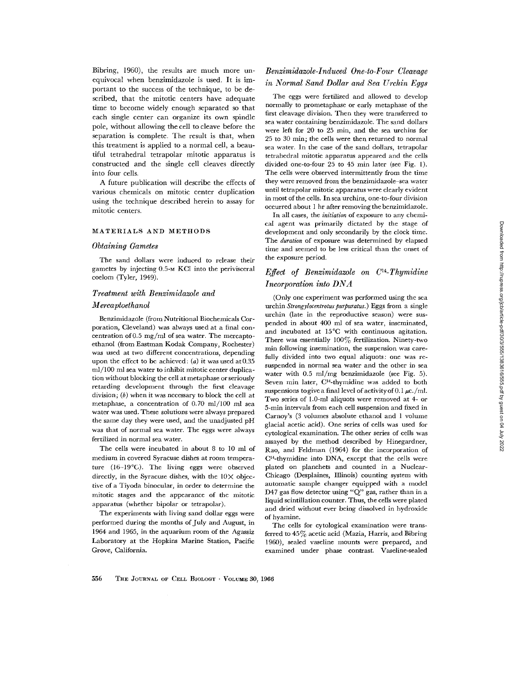Bibring, 1960), the results are much more unequivocal when benzimidazole is used. It is important to the success of the technique, to be described, that the mitotic centers have adequate time to become widely enough separated so that each single center can organize its own spindle pole, without allowing the cell to cleave before the separation is complete. The result is that, when this treatment is applied to a normal cell, a beautiful tetrahedral tetrapolar mitotic apparatus is constructed and the single cell cleaves directly into four cells.

A future publication will describe the effects of various chemicals on mitotic center duplication using the technique described herein to assay for mitotic centers.

#### MATERIALS AND METHODS

#### *Obtaining Gametes*

The sand dollars were induced to release their gametes by injecting 0.5-M KCI into the perivisceral coelom (Tyler, 1949).

### *Treatment with Benzimidazole and*

#### *Mercaptoethanol*

Benzimidazole (from Nutritional Biochemicals Corporation, Cleveland) was always used at a final concentration of 0.5 mg/ml of sea water. The mercaptoethanol (from Eastman Kodak Company, Rochester) was used at two different concentrations, depending upon the effect to be achieved:  $(a)$  it was used at 0.35 ml/100 ml sea water to inhibit mitotic center duplication without blocking the cell at metaphase or seriously retarding development through the first cleavage division;  $(b)$  when it was necessary to block the cell at metaphase, a concentration of 0.70 ml/100 ml sea water was used. These solutions were always prepared the same day they were used, and the unadjusted pH was that of normal sea water. The eggs were always fertilized in normal sea water.

The cells were incubated in about 8 to 10 ml of medium in covered Syracuse dishes at room temperature (16-19°C). The living eggs were observed directly, in the Syracuse dishes, with the  $10\times$  objective of a Tiyoda binocular, in order to determine the mitotic stages and the appearance of the mitotic apparatus (whether bipolar or tetrapolar).

The experiments with living sand dollar eggs were performed during the months of July and August, in 1964 and 1965, in the aquarium room of the Agassiz Laboratory at the Hopkins Marine Station, Pacific Grove, California.

# *Benzimidazole-Induced One4o-Four Cleavage in Normal Sand Dollar and Sea Urchin Eggs*

The eggs were fertilized and allowed to develop normally to prometaphase or early mctaphase of the first cleavage division. Then they were transferred to sea water containing benzimidazole. The sand dollars were left for 20 to *25* rain, and the sea urchins for *25* to 30 min; the ceils were then returned to normal sea water. In the case of the sand dollars, tetrapolar tetrahedral mitotic apparatus appeared and the cells divided one-to-four 25 to 45 min later (see Fig. 1). The cells were observed intermittently from the time they were removed from the benzimidazole-sea water until tetrapolar mitotic apparatus were clearly evident in most of the cells. In sea urchins, one-to-four division occurred about 1 hr after removing the benzimidazole.

In all cases, the *initiation* of exposure to any chemical agent was primarily dictated by the stage of development and only secondarily by the clock time. The *duration* of exposure was determined by elapsed time and seemed to be less critical than the onset of the exposure period.

# *Effect of Benzimidazole on C14-Thymidine Incorporation into DNA*

(Only one experiment was performed using the sea urchin *Strongylocentrotus purpuratus.*) Eggs from a single urchin (late in the reproductive season) were suspended in about 400 ml of sea water, inseminated, and incubated at 15°C with continuous agitation. There was essentially  $100\%$  fertilization. Ninety-two min following insemination, the suspension was carefully divided into two equal aliquots: one was resuspended in normal sea water and the other in sea water with 0.5 ml/mg benzimidazole (see Fig. 5). Seven min later, C<sup>14</sup>-thymidine was added to both suspensions to give a final level of activity of 0.1  $\mu$ c./ml. Two series of 1.0-ml aliquots were removed at 4- or 5-min intervals from each cell suspension and fixed in Carnoy's (3 volumes absolute ethanol and 1 volume glacial acetic acid). One series of cells was used for cytological examination. The other series of cells was assayed by the method described by Hinegardner, Rao, and Feldman (1964) for the incorporation of C14-thymidine into DNA, except that the cells were plated on planchets and counted in a Nuclear-Chicago (Desplaines, Illinois) counting system with automatic sample changer equipped with a model D47 gas flow detector using "Q" gas, rather than in a liquid scintillation counter. Thus, the cells were plated and dried without ever being dissolved in hydroxide of hyamine.

The cells for cytological examination were transferred to 45% acetic acid (Mazia, Harris, and Bibring 1960), sealed vaseline mounts were prepared, and examined under phase contrast. Vaseline-sealed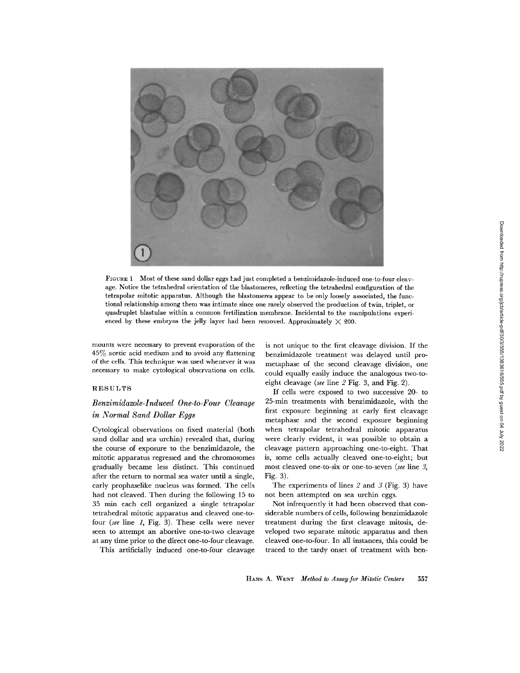

FIGURE 1 Most of these sand dollar eggs had just completed a benzimidazole-indueed one-to-four cleavage. Notice the tetrahedral orientation of the blastomeres, reflecting the tetrahedral configuration of the tetrapolar mitotic apparatus. Although the blastomeres appear to be only loosely associated, the functional relationship among them was intimate since one rarely observed the production of twin, triplet, or quadruplet blastulae within a common fertilization membrane. Incidental to the manipulations experienced by these embryos the jelly layer had been removed. Approximately  $\times$  200.

mounts were necessary to prevent evaporation of the 45% acetic acid medium and to avoid any flattening of the cells. This technique was used whenever it was necessary to make cytological observations on cells.

### RESULTS

# *Benzimidazole-Induced One-to-Four Cleavage in Normal Sand Dollar Eggs*

Cytological observations on fixed material (both sand dollar and sea urchin) revealed that, during the course of exposure to the benzimidazole, the mitotic apparatus regressed and the chromosomes gradually became less distinct. This continued after the return to normal sea water until a single, early prophaselike nucleus was formed. The cells had not cleaved. Then during the following 15 to 35 min each cell organized a single tetrapolar tetrahedral mitotic apparatus and cleaved one-tofour *(see* line 1, Fig. 3). These cells were never seen to attempt an abortive one-to-two cleavage at any time prior to the direct one-to-four cleavage.

This artificially induced one-to-four cleavage

is not unique to the first cleavage division. If the benzimidazole treatment was delayed until prometaphase of the second cleavage division, one could equally easily induce the analogous two-toeight cleavage *(see* line 2 Fig. 3, and Fig. 2).

If cells were exposed to two successive 20- to 25-min treatments with benzimidazole, with the first exposure beginning at early first cleavage metaphase and the second exposure beginning when tetrapolar tetrahedral mitotic apparatus were clearly evident, it was possible to obtain a cleavage pattern approaching one-to-eight. That is, some cells actually cleaved one-to-eight; but most cleaved one-to-six or one-to-seven *(see* line 3, Fig. 3).

The experiments of lines  $2$  and  $3$  (Fig. 3) have not been attempted on sea urchin eggs.

Not infrequently it had been observed that considerable numbers of cells, following benzimidazole treatment during the first cleavage mitosis, developed two separate mitotic apparatus and then cleaved one-to-four. In all instances, this could be traced to the tardy onset of treatment with ben-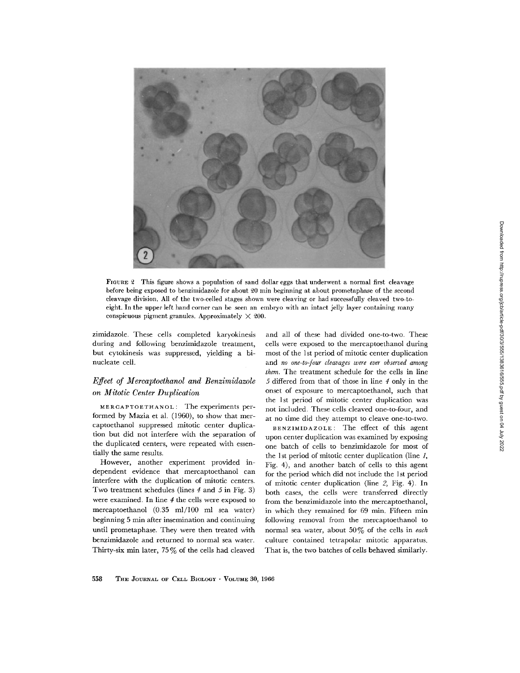

FIGURE 2 This figure shows a population of sand dollar eggs that underwent a normal first cleavage before being exposed to benzimidazole for about 20 min beginning at about prometaphase of the second cleavage division. All of the two-celled stages shown were cleaving or had successfully cleaved two-toeight. In the upper left hand corner can be seen an emhryo with an intact jelly layer containing many conspicuous pigment granules. Approximately  $\times$  200.

zimidazole. These cells completed karyokinesis during and following benzimidazole treatment, but cytokinesis was suppressed, yielding a binucleate cell.

# *Effect of Mercaptoethanol and Benzimidazole on Mitotic Center Duplication*

MERCAPTOETHANOL: The experiments performed by Mazia et al. (1960), to show that mercaptoethanol suppressed mitotic center duplication but did not interfere with the separation of the duplicated centers, were repeated with essentially the same results.

However, another experiment provided independent evidence that mercaptoethanol can interfere with the duplication of mitotic centers. Two treatment schedules (lines 4 and 5 in Fig. 3) were examined. In line 4 the cells were exposed to mercaptoethanol (0.35 ml/100 ml sea water) beginning 5 min after insemination and continuing until prometaphase. They were then treated with benzimidazole and returned to normal sea water. Thirty-six min later, 75 % of the cells had cleaved

and all of these had divided one-to-two. These cells were exposed to the mercaptoethanol during most of the 1st period of mitotic center duplication and *no one-to-four cleavages were ever observed among them.* The treatment schedule for the cells in line 5 differed from that of those in line 4 only in the onset of exposure to mercaptoethanol, such that the 1st period of mitotic center duplication was not included. These ceils cleaved one-to-four, and at no time did they attempt to cleave one-to-two.

BENZIMIDAZOLE: The effect of this agent upon center duplication was examined by exposing one batch of ceils to benzimidazole for most of the 1st period of mitotic center duplication (line  $I$ , Fig. 4), and another batch of cells to this agent for the period which did not include the 1st period of mitotic center duplication (line 2, Fig. 4). In both cases, the cells were transferred directly from the benzimidazole into the mercaptoethanol, in which they remained for 69 min. Fifteen min following removal from the mercaptoethanol to normal sea water, about 50 % of the cells in *each*  culture contained tetrapolar mitotic apparatus. That is, the two batches of cells behaved similarly.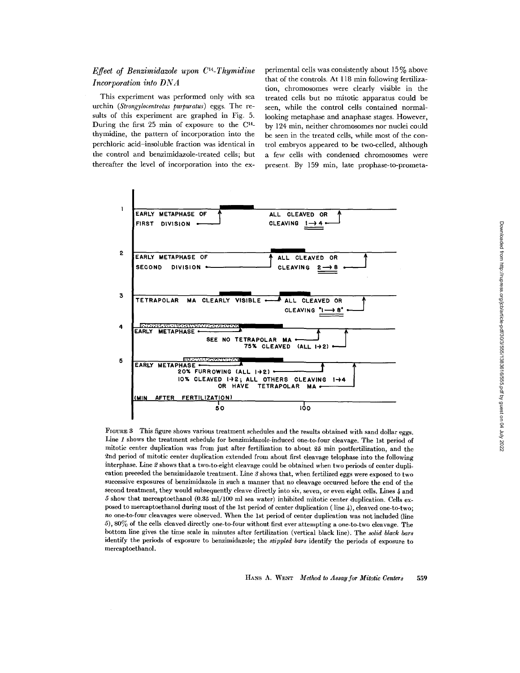# *Effect of Benzimidazole upon C14-Thymidine Incorporation into DNA*

This experiment was performed only with sea urchin *(Strongylocentrotus purpuratus)* eggs. The results of this experiment are graphed in Fig. 5. During the first  $25$  min of exposure to the  $C<sup>14</sup>$ thymidine, the pattern of incorporation into the perchloric acid-insoluble fraction was identical in the control and benzimidazole-treated cells; but thereafter the level of incorporation into the experimental cells was consistently about  $15\%$  above that of the controls. At 118 min following fertilization, chromosomes were clearly visible in the treated cells but no mitotic apparatus could be seen, while the control cells contained normallooking metaphase and anaphase stages. However, by 124 min, neither chromosomes nor nuclei could be seen in the treated cells, while most of the control embryos appeared to be two-celled, although a few ceils with condensed chromosomes were present. By 159 min, late prophase-to-prometa-



FIGURE 8 This figure shows various treatment schedules and the results obtained with sand dollar eggs. Line 1 shows the treatment schedule for benzimidazole-induced one-to-four cleavage. The 1st period of mitotic center duplication was from just after fertilization to about 25 min postfertilization, and the ~nd period of mitotic center duplication extended from about first cleavage telophase into the following interphase. Line 2 shows that a two-to-eight cleavage could be obtained when two periods of center duplication preceded the benzimidazole treatment. Line 3 shows that, when fertilized eggs were exposed to two successive exposures of benzimidazole in such a manner that no cleavage occurred before the end of the second treatment, they would subsequently cleave directly into six, seven, or even eight cells. Lines 4 and 5 show that mercaptoethanol (0.85 ml/100 ml sea water) inhibited mitotic center duplication. Cells exposed to mercaptoethanol during most of the 1st period of center duplication (line  $\mu$ ), cleaved one-to-two; *no* one-to-four cleavages were observed. When the 1st period of center duplication was not included (line 5), 80% of the cells cleaved directly one-to-four without first ever attempting a one-to-two cleavage. The bottom line gives the time scale in minutes after fertilization (vertical black line). The *solid black bars*  identify the periods of exposure to benzimidazole; the *stippled bars* identify the periods of exposure to mercaptoethanol.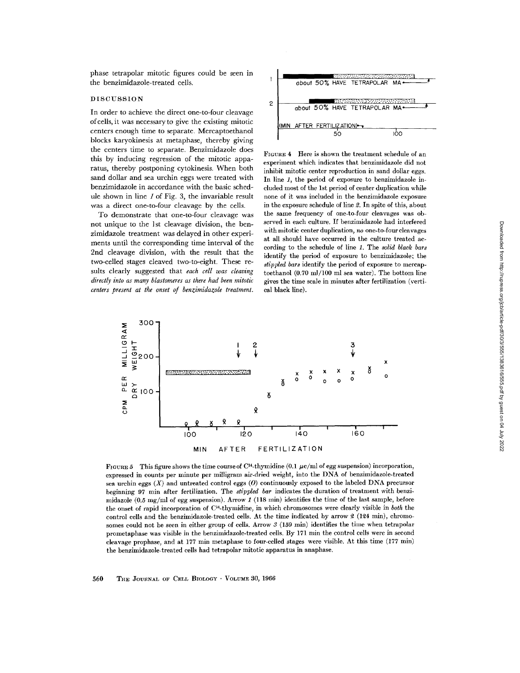phase tetrapolar mitotic figures could be seen in the benzimidazole-treated cells.

#### DISCUSSION

In order to achieve the direct one-to-four cleavage of cells, it was necessary to give the existing mitotic centers enough time to separate. Mercaptoethanol blocks karyokinesis at metaphase, thereby giving the centers time to separate. Benzimidazole does this by inducing regression of the mitotic apparatus, thereby postponing cytokinesis. When both sand dollar and sea urchin eggs were treated with benzimidazole in accordance with the basic schedule shown in line 1 of Fig. 3, the invariable result was a direct one-to-four cleavage by the cells.

To demonstrate that one-to-four cleavage was not unique to the 1st cleavage division, the benzimidazole treatment was delayed in other experiments until the corresponding time interval of the 2nd cleavage division, with the result that the two-celled stages cleaved two-to-eight. These results clearly suggested that *each cell was cleaving directly into as many blastomeres as there had been mitotic centers present at the onset of benzimidazole treatment.* 



FIGURE 4 Here is shown the treatment schedule of an experiment which indicates that benzimidazote did not inhibit mitotic center reproduction in sand dollar eggs. In line 1, the period of exposure to benzimidazole included most of the 1st period of center duplication while none of it was included in the benzimidazole exposure in the exposure schedule of line 2. In spite of this, about the same frequency of one-to-four cleavages was observed in each culture. If benzimidazole had interfered with mitotic center duplication, no one-to-four cleavages at all should have occurred in the culture treated according to the schedule of line 1. The *solid black bars*  identify the period of exposure to benzimidazole; the *stippled bars* identify the period of exposure to mercaptoethanol (0.70 m]/100 ml sea water). The bottom line gives the time scale in minutes after fertilization (vertical black line).



FIGURE 5 This figure shows the time course of C<sup>14</sup>-thymidine (0.1  $\mu$ c/ml of egg suspension) incorporation, expressed in counts per minute per milligram air-dried weight, into the DNA of benzimidazole-treated sea urchin eggs  $(X)$  and untreated control eggs  $(0)$  continuously exposed to the labeled DNA precursor beginning 97 min after fertilization. The *stippled bar* indicates the duration of treatment with benzimidazole  $(0.5 \text{ mg/ml of egg suspension})$ . Arrow 1 (118 min) identifies the time of the last sample, before the onset of rapid incorporation of C]4-thymidine, in which chromosomes were clearly visible in *both* the control cells and the benzimidazole-treated cells. At the time indicated by arrow  $2$  (124 min), chromosomes could not be seen in either group of cells. Arrow  $3(159 \text{ min})$  identifies the time when tetrapolar prometaphase was visible in the benzimidazole-treated cells. By 171 min the control cells were in second cleavage prophase, and at 177 min metaphase to four-celled stages were visible. At this time (177 min) the benzimidazole-treated cells had tetrapolar mitotic apparatus in anaphase.

560 THE JOURNAL OF CELL BIOLOGY · VOLUME 30, 1966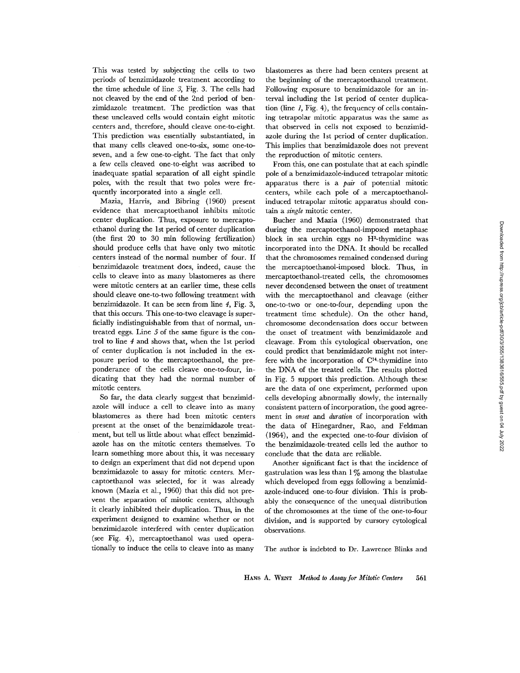This was tested by subjecting the cells to two periods of benzimidazole treatment according to the time schedule of line *3,* Fig. 3. The cells had not cleaved by the end of the 2nd period of benzimidazole treatment. The prediction was that these uncleaved cells would contain eight mitotic centers and, therefore, should cleave one-to-eight. This prediction was essentially substantiated, in that many cells cleaved one-to-six, some one-toseven, and a few one-to-eight. The fact that only a few cells cleaved one-to-eight was ascribed to inadequate spatial separation of all eight spindle poles, with the result that two poles were frequently incorporated into a single cell.

Mazia, Harris, and Bibring (1960) present evidence that mercaptoethanol inhibits mitotic center duplication. Thus, exposure to mercaptoethanol during the 1st period of center duplication (the first 20 to 30 min following fertilization) should produce cells that have only two mitotic centers instead of the normal number of four. If benzimidazole treatment does, indeed, cause the cells to cleave into as many blastomeres as there were mitotic centers at an earlier time, these cells should cleave one-to-two following treatment with benzimidazole. It can be seen from line 4, Fig. 3, that this occurs. This one-to-two cleavage is superficially indistinguishable from that of normal, untreated eggs. Line 5 of the same figure is the control to line  $4$  and shows that, when the 1st period of center duplication is not included in the exposure period to the mercaptoethanol, the preponderance of the cells cleave one-to-four, indicating that they had the normal number of mitotic centers.

So far, the data clearly suggest that benzimidazole will induce a cell to cleave into as many blastomeres as there had been mitotic centers present at the onset of the benzimidazole treatment, but tell us little about what effect benzimidazole has on the mitotic centers themselves. To learn something more about this, it was necessary to design an experiment that did not depend upon benzimidazole to assay for mitotic centers. Mercaptoethanol was selected, for it was already known (Mazia et al., 1960) that this did not prevent the separation of mitotic centers, although it clearly inhibited their duplication. Thus, in the experiment designed to examine whether or not benzimidazole interfered with center duplication (see Fig. 4), mereaptoethanol was used operationally to induce the cells to cleave into as many

blastomeres as there had been centers present at the beginning of the mercaptoethanol treatment. Following exposure to benzimidazole for an interval including the 1st period of center duplication (line  $1$ , Fig. 4), the frequency of cells containing tetrapolar mitotic apparatus was the same as that observed in cells not exposed to benzimidazole during the 1st period of center duplication. This implies that benzimidazole does not prevent the reproduction of mitotic centers.

From this, one can postulate that at each spindle pole of a benzimidazole-induced tetrapolar mitotic apparatus there is a *pair* of potential mitotic centers, while each pole of a mercaptoethanolinduced tetrapolar mitotic apparatus should contain a *single* mitotic center.

Bucher and Mazia (1960) demonstrated that during the mercaptoethanol-imposed metaphase block in sea urchin eggs no H3-thymidine was incorporated into the DNA. It should be recalled that the chromosomes remained condensed during the mercaptoethanol-imposed block. Thus, in mercaptoethanol-treated cells, the chromosomes never decondensed between the onset of treatment with the mercaptoethanol and cleavage (either one-to-two or one-to-four, depending upon the treatment time schedule). On the other hand, chromosome decondensation does occur between the onset of treatment with benzimidazole and cleavage. From this cytological observation, one could predict that benzimidazole might not interfere with the incorporation of Cl\*-thymidine into the DNA of the treated cells. The results plotted in Fig. 5 support this prediction. Although these are the data of one experiment, performed upon cells developing abnormally slowly, the internally consistent pattern of incorporation, the good agreement in *onset* and *duration* of incorporation with the data of Hinegardner, Rao, and Feldman (1964), and the expected one-to-four division of the benzimidazole-treated cells led the author to conclude that the data are reliable.

Another significant fact is that the incidence of gastrulation was less than  $1\%$  among the blastulae which developed from eggs following a benzimidazole-induced one-to-four division. This is probably the consequence of the unequal distribution of the chromosomes at the time of the one-to-four division, and is supported by cursory cytological observations.

The author is indebted to Dr. Lawrence Blinks and